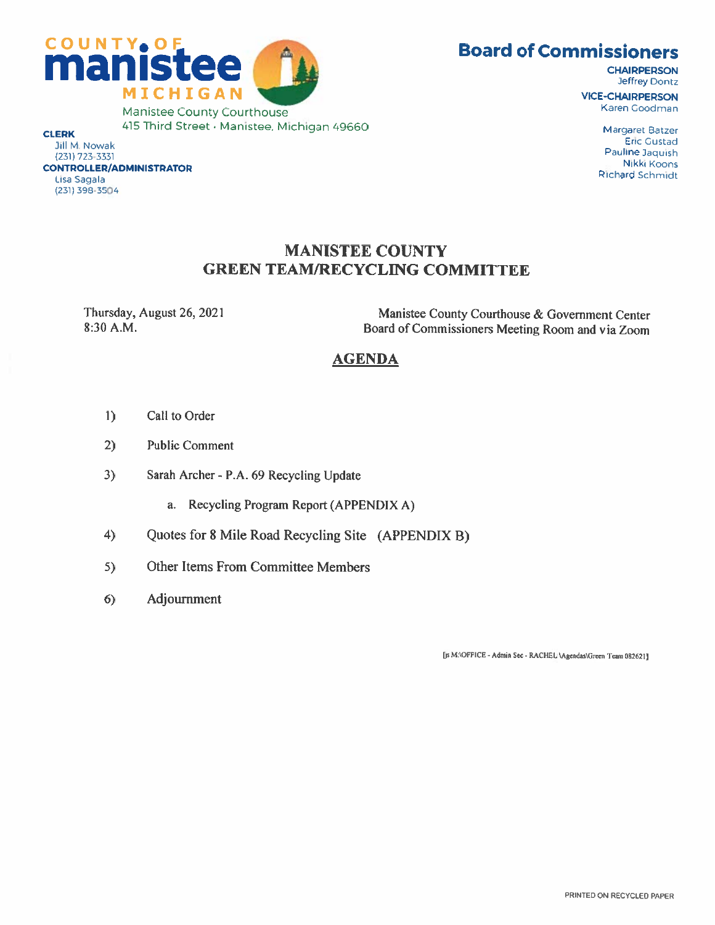



(231) 723-3331 CONTROLLER/ADMINISTRATOR Lisa Sagala (231) 398-3504

**CHAIRPERSON** Jeffrey Dontz VICE-CHAIRPERSON Karen Goodman

> Margaret Baizer Eric Custad Pauline Jaquish Nikki Koons Richard Schmidt

# MANISTEE COUNTY GREEN TEAM/RECYCLING COMMITTEE

Thursday, August 26, 2021 8:30 AM.

Manistee County Courthouse & Government Center Board of Commissioners Meeting Room and via Zoom

# **AGENDA**

- $\mathbf{I}$ Call to Order
- 2) Public Comment
- 3) Sarah Archer P.A. 69 Recycling Update
	- a. Recycling Program Report (APPENDIX A)
- 4) Quotes for <sup>8</sup> Mile Road Recycling Site (APPENDIX B)
- 5) Other Items From Committee Members
- 6) Adjournment

[js M:\OFFICE - Admin Sec - RACHEL:\Agendas\Green Team 082621]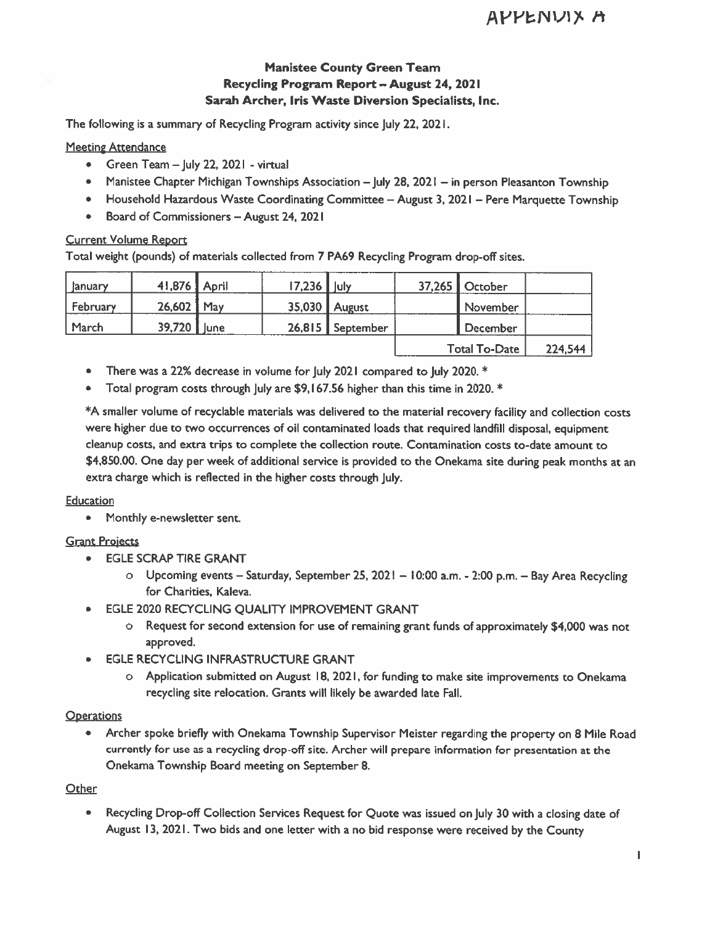## Manistee County Green Team Recycling Program Report — August 24, 2021 Sarah Archer, Iris Waste Diversion Specialists, Inc.

### **Meeting Attendance**

- Green Team  $-$  July 22, 2021 virtual
- Manistee Chapter Michigan Townships Association July 28, 2021 in person Pleasanton Township
- Household Hazardous Waste Coordinating Committee August 3, 2021 Pere Marquette Township
- Board of Commissioners August 24, 2021

### Current Volume Report

|                                                                          |                                                                                  |        |             |                                                                                                                                         |        |                                                                                                                                                                                                                                                                                       | <b>APPENVIX</b> |
|--------------------------------------------------------------------------|----------------------------------------------------------------------------------|--------|-------------|-----------------------------------------------------------------------------------------------------------------------------------------|--------|---------------------------------------------------------------------------------------------------------------------------------------------------------------------------------------------------------------------------------------------------------------------------------------|-----------------|
|                                                                          |                                                                                  |        |             | <b>Manistee County Green Team</b><br>Recycling Program Report - August 24, 2021<br>Sarah Archer, Iris Waste Diversion Specialists, Inc. |        |                                                                                                                                                                                                                                                                                       |                 |
|                                                                          |                                                                                  |        |             | The following is a summary of Recycling Program activity since July 22, 2021.                                                           |        |                                                                                                                                                                                                                                                                                       |                 |
| <b>Meeting Attendance</b><br>۰<br>۰<br>۰<br><b>Current Volume Report</b> | Green Team - July 22, 2021 - virtual<br>Board of Commissioners - August 24, 2021 |        |             |                                                                                                                                         |        | Manistee Chapter Michigan Townships Association - July 28, 2021 - in person Pleasanton Towns<br>Household Hazardous Waste Coordinating Committee - August 3, 2021 - Pere Marquette Town<br>Total weight (pounds) of materials collected from 7 PA69 Recycling Program drop-off sites. |                 |
| January                                                                  | 41,876                                                                           | April  | 17,236 July |                                                                                                                                         | 37,265 | October                                                                                                                                                                                                                                                                               |                 |
| February                                                                 | 26,602                                                                           | May    | 35,030      | August                                                                                                                                  |        | November                                                                                                                                                                                                                                                                              |                 |
| March                                                                    | 39,720                                                                           | i lune | 26,815      | September                                                                                                                               |        | December                                                                                                                                                                                                                                                                              |                 |
|                                                                          |                                                                                  |        |             |                                                                                                                                         |        | <b>Total To-Date</b>                                                                                                                                                                                                                                                                  | 224,544         |

- There was a 22% decrease in volume for July 2021 compared to July 2020. \*
- Total program costs through July are \$9, <sup>I</sup> 67.56 higher than this time in 2020. \*

\*A smaller volume of recyclable materials was delivered to the material recovery facility and collection costs were higher due to two occurrences of oil contaminated loads that required landfill disposal, equipment cleanup costs, and extra trips to complete the collection route. Contamination costs to-date amount to \$4,850.00. One day per week of additional service is provided to the Onekama site during peak months at an extra charge which is reflected in the higher costs through July.

### **Education**

• Monthly e-newsletter sent.

### Grant Projects

- EGLE SCRAP TIRE GRANT
	- o Upcoming events Saturday, September 25, 2021 10:00 a.m. 2:00 p.m. Bay Area Recycling for Charities, Kaleva.
- EGLE 2020 RECYCLING QUALITY IMPROVEMENT GRANT
	- o Request for second extension for use of remaining grant funds of approximately \$4,000 was not approved.
- **EGLE RECYCLING INFRASTRUCTURE GRANT** 
	- o Application submitted on August 18, 202 I, for funding to make site improvements to Onekama recycling site relocation. Grants will likely be awarded late Fall.

### **Operations**

• Archer spoke briefly with Onekama Township Supervisor Meister regarding the property on 8 Mile Road currently for use as a recycling drop-off site. Archer will prepare information for presentation at the Onekama Township Board meeting on September 8.

### **Other**

• Recycling Drop-off Collection Services Request for Quote was issued on July 30 with a closing date of August 13, 2021. Two bids and one letter with <sup>a</sup> no bid response were received by the County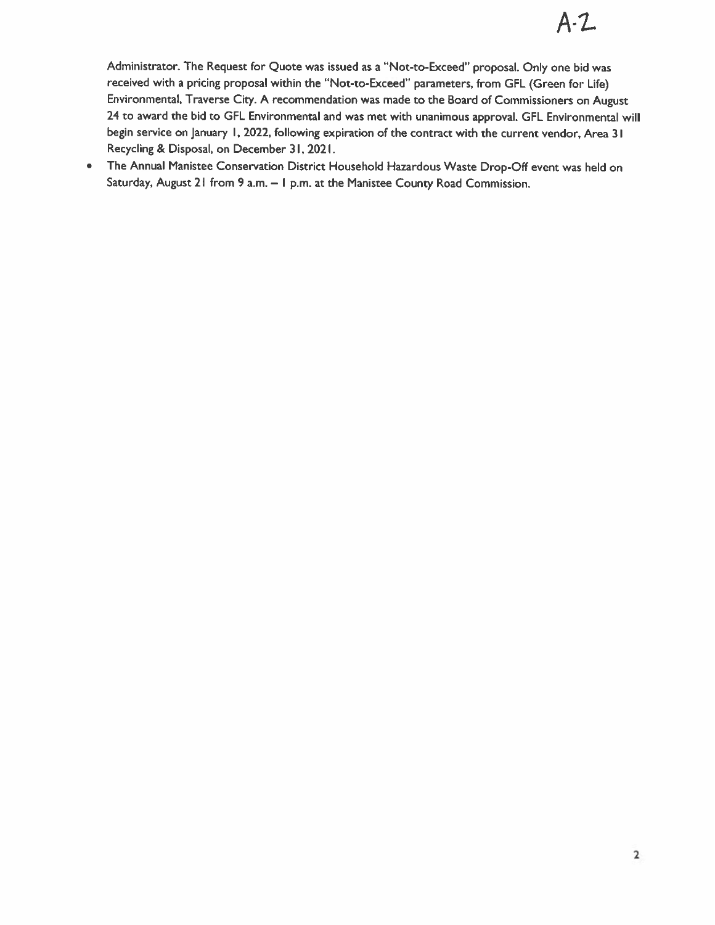Administrator. The Request for Quote was issued as <sup>a</sup> "Not-to-Exceed' proposal. Only one bid was received with <sup>a</sup> pricing proposal within the "Not-to-Exceed" parameters, from GFL (Green for Life) Environmental, Traverse City. A recommendation was made to the Board of Commissioners on August 24 to award the bid to GFL Environmental and was met with unanimous approval. GFL Environmental will begin service on January I, 2022, following expiration of the contract with the current vendor, Area <sup>31</sup> Recycling & Disposal, on December 31, 2021.

• The Annual Manistee Conservation District Household Hazardous Waste Drop-Off event was held on Saturday, August 21 from 9 a.m. - I p.m. at the Manistee County Road Commission.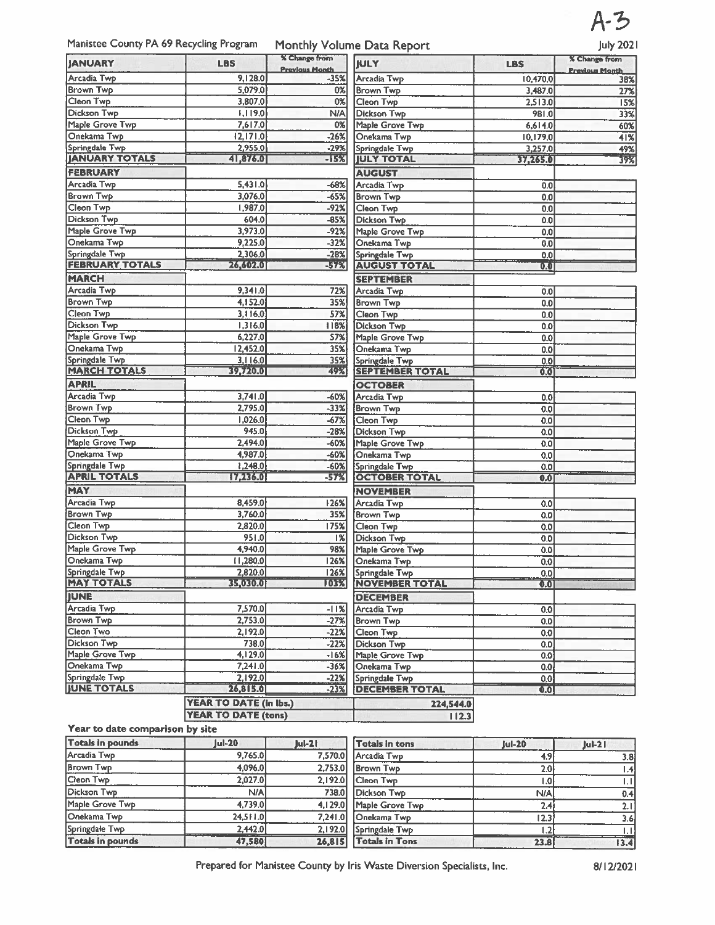

Manistee County PA 69 Recycling Program Monthly Volume Data Report July 2021

|                            |                            | % Change from         |                        |                  | . .<br><b>X</b> Change from |
|----------------------------|----------------------------|-----------------------|------------------------|------------------|-----------------------------|
| <b>JANUARY</b>             | <b>LBS</b>                 | <b>Previous Month</b> | <b>JULY</b>            | <b>LBS</b>       | <b>Previous Month</b>       |
| Arcadia Twp                | 9,128.0                    | $-35%$                | Arcadia Twp            | 10,470.0         | 38%                         |
| <b>Brown Twp</b>           | 5,079.0                    | <b>0%</b>             | <b>Brown Twp</b>       | 3,487.0          | 27%                         |
| Cleon Twp                  | 3,807.0                    | 0%                    | Cleon Twp              | 2,513.0          | 15%                         |
| <b>Dickson Twp</b>         | [1,119.0]                  | N/A                   | Dickson Twp            | 981.0            | 33%                         |
| Maple Grove Twp            | 7,617.0                    | 0%                    | Maple Grove Twp        | 6,614.0          | 60%                         |
| Onekama Twp                | 2,  71.0                   | $-26%$                | Onekama Twp            | 10,179.0         | 41%                         |
| Springdale Twp             | 2,955.0                    | $-29%$                | Springdale Twp         | 3,257.0          | 49%                         |
| <b>JANUARY TOTALS</b>      | 41,876.0                   | -15%                  | <b>JULY TOTAL</b>      | 37,265.0         | $\frac{1}{39\%}$            |
| <b>FEBRUARY</b>            |                            |                       | <b>AUGUST</b>          |                  |                             |
| Arcadia Twp                | 5,431.0                    | $-68%$                | <b>Arcadia Twp</b>     | 0.0              |                             |
| <b>Brown Twp</b>           | 3,076.0                    | $-65%$                | <b>Brown Twp</b>       | 0.0              |                             |
| Cleon Twp                  | 1,987.0                    | $-92%$                | Cleon Twp              | 0.0              |                             |
| Dickson Twp                | 604.0                      | $-85%$                | <b>Dickson Twp</b>     | 0.0              |                             |
| Maple Grove Twp            | 3,973.0                    | $-92%$                | Maple Grove Twp        | 0.0              |                             |
| Onekama Twp                | 9,225.0                    | $-32%$                | Onekama Twp            | 0.0              |                             |
| Springdale Twp             | 2,306.0                    | $-28%$                | Springdale Twp         | 0.01             |                             |
| <b>FEBRUARY TOTALS</b>     | 26,607.0                   | $-57%$                | <b>AUGUST TOTAL</b>    | $\overline{0.0}$ |                             |
| <b>MARCH</b>               |                            |                       | <b>SEPTEMBER</b>       |                  |                             |
| Arcadia Twp                | 9,341.0                    | 72%                   | Arcadia Twp            | 0.01             |                             |
| <b>Brown Twp</b>           | 4,152.0                    | 35%                   | <b>Brown Twp</b>       | 0.0              |                             |
| Cleon Twp                  | 3,116.0                    | 57%                   | Cleon Twp              | 0.0              |                             |
| <b>Dickson Twp</b>         | 1,316.0                    | 118%                  | <b>Dickson Twp</b>     | 0.01             |                             |
| Maple Grove Twp            | 6,227.0                    | 57%                   | Maple Grove Twp        | 0.01             |                             |
| Onekama Twp                | 12,452.0                   | 35%                   | Onekama Twp            | 0,0              |                             |
| Springdale Twp             | 3,116.0                    | 35%                   | Springdale Twp         | 0.0              |                             |
| <b>MARCH TOTALS</b>        | 39,720.0                   | 49%                   | <b>SEPTEMBER TOTAL</b> | $\overline{0.0}$ |                             |
| <b>APRIL</b>               |                            |                       | <b>OCTOBER</b>         |                  |                             |
| Arcadia Twp                | 3,741.0                    | -60%                  | Arcadia Twp            | 0.0              |                             |
| <b>Brown Twp</b>           | 2,795.0                    | $-33%$                | <b>Brown Twp</b>       | 0.0              |                             |
| Cleon Twp                  | 1,026.0                    | $-67%$                | Cleon Twp              | 0.0              |                             |
| <b>Dickson Twp</b>         | 945.0                      | $-28%$                | Dickson Twp            | 0.0              |                             |
| Maple Grove Twp            | 2,494.0                    | $-60%$                | Maple Grove Twp        | 0.0              |                             |
| Onekama Twp                | 4,987.0                    | -60%                  | Onekama Twp            | 0.0              |                             |
| Springdale Twp             | 1,248.0                    | $-60%$                | Springdale Twp         | 0.0              |                             |
| <b>APRIL TOTALS</b>        | 17,236.0                   | -57%                  | <b>OCTOBER TOTAL</b>   | 0.0              |                             |
| <b>MAY</b>                 |                            |                       | <b>NOVEMBER</b>        |                  |                             |
| <b>Arcadia Twp</b>         | 8,459.0                    | 26%                   | Arcadia Twp            | 0.0              |                             |
| <b>Brown Twp</b>           | 3,760.0                    | 35%                   | <b>Brown Twp</b>       | 0.0              |                             |
| Cleon Twp                  | 2,820.0                    | 175%                  | Cleon Twp              | 0.0              |                             |
| Dickson Twp                | 951.0                      | %                     | Dickson Twp            | 0.0              |                             |
| Maple Grove Twp            | 4,940.0                    | 98%                   | Maple Grove Twp        | 0.0              |                             |
| Onekama Twp                | 11,280.0                   | 126%                  | Onekama Twp            | 0.0              |                             |
| Springdale Twp             | 2.820.0                    | 126%                  | Springdale Twp         | [0,0]            |                             |
| <b>MAY TOTALS</b>          | 35 030.01                  | 103%                  | <b>NOVEMBER TOTAL</b>  | 0.0              |                             |
|                            |                            |                       | <b>DECEMBER</b>        |                  |                             |
| <b>JUNE</b><br>Arcadia Twp | 7,570.0                    | $-11%$                | Arcadia Twp            | 0.0              |                             |
| <b>Brown Twp</b>           | 2,753.0                    | $-27%$                | Brown Twp              | 0.0 <sub>1</sub> |                             |
| Cleon Two                  | 2,192.0                    | $-22%$                | Cleon Twp              | 0.0              |                             |
| Dickson Twp                | 738.0                      | $-22%$                | Dickson Twp            | 0.0              |                             |
| Maple Grove Twp            | 4,129.0                    | $-16%$                | Maple Grove Twp        | 0.01             |                             |
| Onekama Twp                | 7,241.0                    | $-36%$                | Onekama Twp            | 0.0 <sub>l</sub> |                             |
| Springdale Twp             | 2,192.0                    | $-22%$                | Springdale Twp         | 0.0              |                             |
| <b>JUNE TOTALS</b>         | 26,815.0                   | $-23%$                | <b>DECEMBER TOTAL</b>  | 0.0              |                             |
|                            | YEAR TO DATE (in lbs.)     |                       | 224,544.0              |                  |                             |
|                            | <b>YEAR TO DATE (tons)</b> |                       | 112.3                  |                  |                             |
|                            |                            |                       |                        |                  |                             |

### Year to date comparison by site

| <b>Totals in pounds</b> | $ ul-20 $ | $Jul-2l$ | Totals in tons        | <b>Jul-20</b>          | $ u -2 $         |
|-------------------------|-----------|----------|-----------------------|------------------------|------------------|
| Arcadia Two             | 9,765.0   | 7,570.0  | Arcadia Twp           | 4.9                    | 3.8 <sub>1</sub> |
| <b>Brown Twp</b>        | 4,096.0   | 2.753.0  | <b>Brown Twp</b>      | 2.0 <sub>l</sub>       | ا4. ا            |
| Cleon Twp               | 2,027.0   | 2.192.0  | Cleon Twp             | ،01                    | Ш                |
| Dickson Twp             | N/A       | 738.0    | Dickson Twp           | N/A                    | 0.4              |
| Maple Grove Twp         | 4,739.0   | 4,129.0  | Maple Grove Twp       |                        | 2.11             |
| Onekama Twp             | 24,511.0  | 7.241.0  | <b>Onekama Twp</b>    | 12.3                   | 3.6              |
| Springdale Twp          | 2,442.0   | 2,192.0  | Springdale Twp        |                        |                  |
| <b>Totals in pounds</b> | 47,580    | 26,815   | <b>Totals in Tons</b> | <b>PERMITE</b><br>23.8 | 13.4             |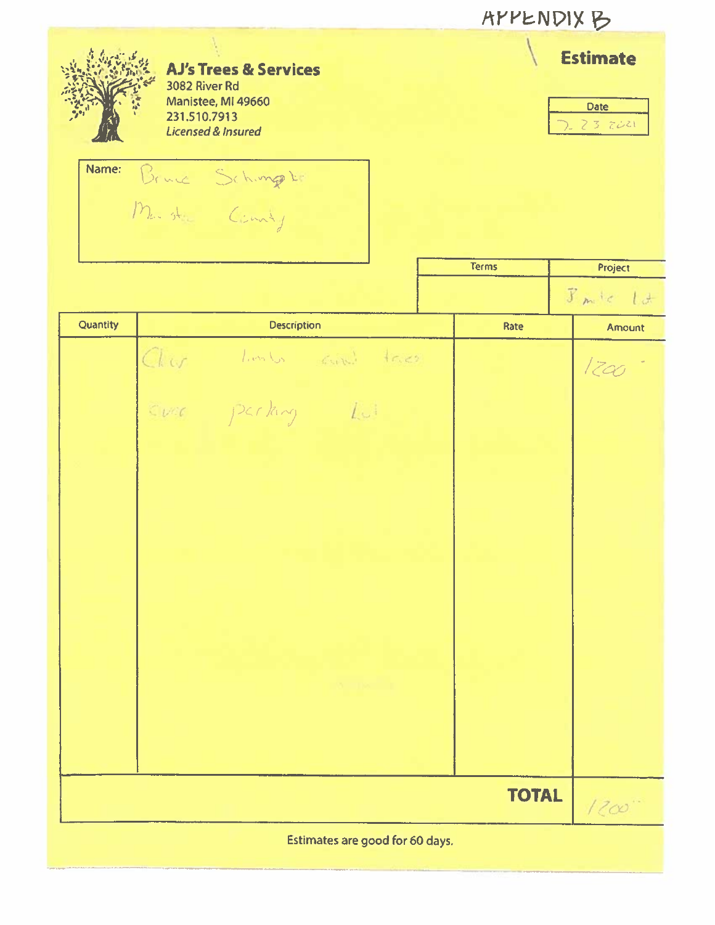|          |                                                                                                                                            | <b>AYYENDIX B</b> |                                           |
|----------|--------------------------------------------------------------------------------------------------------------------------------------------|-------------------|-------------------------------------------|
| Name:    | <b>AJ's Trees &amp; Services</b><br>3082 River Rd<br>Manistee, MI 49660<br>231.510.7913<br><b>Licensed &amp; Insured</b><br>Bruce Schunger |                   | <b>Estimate</b><br><b>Date</b><br>23 2021 |
|          |                                                                                                                                            | <b>Terms</b>      | Project                                   |
|          |                                                                                                                                            |                   | $F_m/c$ $l$ d                             |
| Quantity | <b>Description</b>                                                                                                                         | Rate              | Amount                                    |
|          | Char limbs and tres<br>Ever parking Lui                                                                                                    |                   | 1200                                      |
|          |                                                                                                                                            | <b>TOTAL</b>      | 1200                                      |
|          | Estimates are good for 60 days.                                                                                                            |                   |                                           |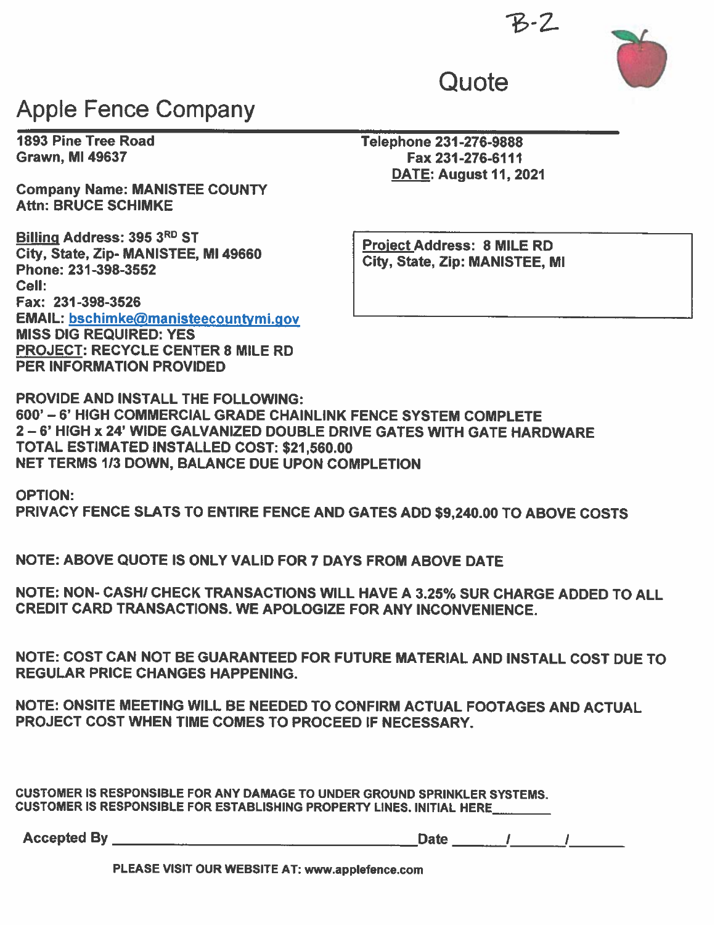

# Apple Fence Company

Company Name: MANISTEE COUNTY Attn: BRUCE SCHIMKE

Billing Address: 395 3RD ST City, State, Zip- MANISTEE, Ml 49660 Phone: 231-398-3552 Cell: Fax: 231-398-3526 EMAIL: bschimke@manisteecountymi.gov MISS DIG REQUIRED: YES PROJECT: RECYCLE CENTER 8 MILE RD PER INFORMATION PROVIDED

1893 Pine Tree Road Telephone 231-276-9888 Fax 231-276-6111 DATE: August 11, 2021

**Quote** 

Project Address: 8 MILE RD City, State, Zip: MANISTEE, MI

PROVIDE AND INSTALL THE FOLLOWING: 600'— 6' HIGH COMMERCIAL GRADE CHAINLINK FENCE SYSTEM COMPLETE 2—6' HIGH x 24' WIDE GALVANIZED DOUBLE DRIVE GATES WITH GATE HARDWARE TOTAL ESTIMATED INSTALLED COST: \$21,560.00 NET TERMS 113 DOWN, BALANCE DUE UPON COMPLETION

OPTION: PRIVACY FENCE SLATS TO ENTIRE FENCE AND GATES ADD \$9,240.00 TO ABOVE COSTS

NOTE: ABOVE QUOTE IS ONLY VALID FOR 7 DAYS FROM ABOVE DATE

NOTE: NON- CASHI CHECK TRANSACTIONS WILL HAVE A 3.25% SUR CHARGE ADDED TO ALL CREDIT CARD TRANSACTIONS. WE APOLOGIZE FOR ANY INCONVENIENCE.

NOTE: COST CAN NOT BE GUARANTEED FOR FUTURE MATERIAL AND INSTALL COST DUE TO REGULAR PRICE CHANGES HAPPENING.

NOTE: ONSITE MEETING WILL BE NEEDED TO CONFIRM ACTUAL FOOTAGES AND ACTUAL PROJECT COST WHEN TIME COMES TO PROCEED IF NECESSARY.

CUSTOMER IS RESPONSIBLE FOR ANY DAMAGE TO UNDER GROUND SPRINKLER SYSTEMS. CUSTOMER IS RESPONSIBLE FOR ESTABLISHING PROPERTY LINES. INITIAL HERE \_\_\_\_\_\_\_\_\_\_

Accepted By

Date 1 1

PLEASE VISIT OUR WEBSITE AT: www.applefence.com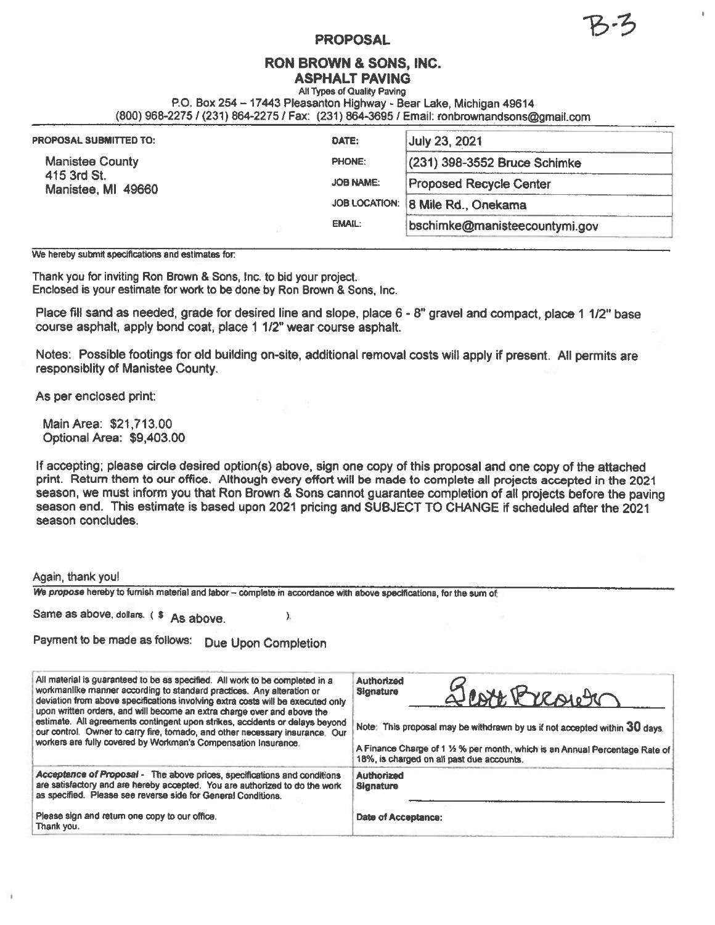### PROPOSAL

# RON BROWN & SONS, INC.

ASPHALT PAVING All Types of Quality Paving

P0. Box 254— 17443 Pleasanton Highway - Bear Lake, Michigan 49614

(800) 968-2275 /(231) 864-2275 / Fax: (231)864-3695 / Email: ronbrownandsons@gmail.com

| <b>PROPOSAL SUBMITTED TO:</b>     | DATE:            | July 23, 2021                     |  |
|-----------------------------------|------------------|-----------------------------------|--|
| <b>Manistee County</b>            | <b>PHONE:</b>    | $(231)$ 398-3552 Bruce Schimke    |  |
| 415 3rd St.<br>Manistee, MI 49660 | <b>JOB NAME:</b> | <b>Proposed Recycle Center</b>    |  |
|                                   |                  | JOB LOCATION: 8 Mile Rd., Onekama |  |
|                                   | <b>EMAIL:</b>    | bschimke@manisteecountymi.gov     |  |

We hereby submit specifications and estimates for:

Thank you for inviting Ron Brown & Sons, Inc. to bid your project. Enclosed is your estimate for work to be done by Ron Brown & Sons, Inc.

Place fill sand as needed, grade for desired line and slope, place 6 - 8" gravel and compact, place 1 1/2" base course asphalt, apply bond coat, place <sup>1</sup> 1/2" wear course asphalt.

Notes: Possible footings for old building on-site, additional removal costs will apply if present. All permits are responsiblity of Manistee County.

As per enclosed print:

Main Area: \$21,713.00 Optional Area: \$9,403.00

If accepting; please circle desired option(s) above, sign one copy of this proposal and one copy of the attached print. Return them to our office. Although every effort will be made to complete all projects accepted in the 2021 season, we must inform you that Ron Brown & Sons cannot guarantee completion of all projects before the paving season end. This estimate is based upon 2021 pricing and SUBJECT TO CHANGE if scheduled after the 2021 season concludes.

### Again, thank you!

We propose hereby to furnish material and labor - complete in accordance with above specifications, for the sum of

 $\sum_{i=1}^{n}$ 

Same as above, dollars. (\$ As above.

| Payment to be made as follows:  Due Upon Completion |  |  |  |
|-----------------------------------------------------|--|--|--|
|-----------------------------------------------------|--|--|--|

| All material is guaranteed to be as specified. All work to be completed in a<br>workmanlike manner according to standard practices. Any alteration or<br>deviation from above specifications involving extra costs will be executed only<br>upon written orders, and will become an extra charge over and above the<br>estimate. All agreements contingent upon strikes, accidents or delays beyond<br>our control. Owner to carry fire, tornado, and other necessary insurance. Our<br>workers are fully covered by Workman's Compensation Insurance. | Authorized<br>Least Breach<br>Signature<br>Note: This proposal may be withdrawn by us if not accepted within 30 days.<br>A Finance Charge of 1 1/2 % per month, which is an Annual Percentage Rate of<br>18%, is charged on all past due accounts. |
|--------------------------------------------------------------------------------------------------------------------------------------------------------------------------------------------------------------------------------------------------------------------------------------------------------------------------------------------------------------------------------------------------------------------------------------------------------------------------------------------------------------------------------------------------------|----------------------------------------------------------------------------------------------------------------------------------------------------------------------------------------------------------------------------------------------------|
| Acceptance of Proposal - The above prices, specifications and conditions<br>are satisfactory and are hereby accepted. You are authorized to do the work<br>as specified. Please see reverse side for General Conditions.<br>Please sign and return one copy to our office.<br>Thank you.                                                                                                                                                                                                                                                               | Authorized<br><b>Signature</b><br>Date of Acceptance:                                                                                                                                                                                              |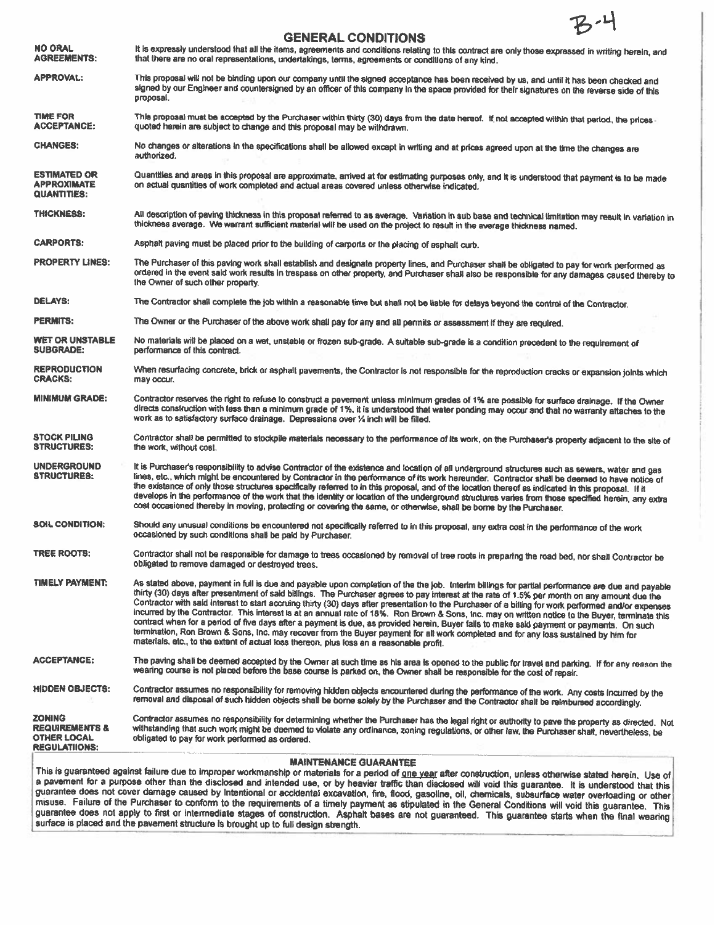### GENERAL CONDITIONS NO ORAL It is expressly understood that all the items, agreements and conditions relating to this contract are only those expressed in writing herein, and<br>AGREEMENTS: that there are no oral representations, undertakings, t that there are no oral representations, undertakings, terms, agreements or conditions of any kind. APPROVAL: This proposal will not be binding upon our company until the signed acceptance has been received by us, and until it has been checked and signed by our Engineer and counlersigned by an officer of this company in the space provided for their signatures on the reverse side of this proposal. TIME FOR This proposal must be accepted by the Purchaser within thirty (30) days from the date hereof. If not accepted within that period, the prices and CCEPTANCE: quoted herein are subject to change and this proposal may CHANGES: No changes or alterations In the specifications shall be allowed except in writing and at prices agreed upon at the time the changes are authorized. ESTIMATED OR Quantities and areas in this proposal are approximate, arrived at for estimating purposes only, and it is understood that payment is to be made<br>APPROXIMATE on actual quantities of work completed and actual are on actual quantities of work completed and actual areas covered unless otherwise indicated. QUANTITiES: THICKNESS: All description of paving thickness in this proposal referred to as average. Variation in sub base and technical limitation may result in variation in<br>thickness average. We warrant sufficient material will be us CARPORTS: Asphalt paving must be <sup>p</sup>laced prior to the building of carpoits or the <sup>p</sup>lacing of asphalt curb. PROPERTY LINES: The Purchaser of this paving work shall establish and designate property lines, and Purchaser shall be obligated to pay for work performed as ordered in the event said work results in trespass on other property, and Purchaser shall also be responsible for any damages caused thereby to<br>the Owner of such other property. DELAYS: The Contractor shall complete the job within a reasonable time but shall not be liable for delays beyond the control of the Contractor. PERMITS: The Owner or the Purchaser of the above work shall pay for any and all permits or assessment if they are required. WET OR UNSTABLE No materials will be placed on a wet, unstable or frozen sub-grade. A suitable sub-grade is a condition precedent to the requirement of SUBGRADE:<br>SUBGRADE: performance of this contract performance of this contract. REPRODUCTION When resurfacing concrete, brick or asphalt pavements, the Contractor is not responsible for the reproduction cracks or expansion joints which<br>CRACKS: may occur. **CRACKS:** MINIMUM GRADE: Contractor reserves the right to refuse to construct a pavement unless minimum grades of 1% are possible for surface drainage. If the Owner directs construction with less than <sup>a</sup> minimum grade of 1%, it is understood that waler ponding may occur and that no warranty attaches to the work as to satisfactory surface drainage. Depressions over % inch will be filled. STOCK PILING Contractor shall be permitted to stockpile materials necessary to the performance of its work, on the Purchaser's property adjacent to the site of STRUCTURES: the work, without cost. UNDERGROUND It is Purchaser's responsibility to advise Contractor of the existence and location of all underground structures such as sewers, water and gas<br>STRUCTURES: lines, etc., which might be encountered by Contractor the existence of only those structures specifically referred to in this proposal, and of the location thereof as indicated in this proposal. If it develops in the performance of the work that the identity or location of the underground structures varies from those specified herein, any extra cost occasioned thereby in moving, protecting or covering the same, or otherwise, shall be borne by the Purchaser. SOIL CONDITION: Should any unusual conditions be encountered not specifically referred to in this proposal, any extra cost in the performance of the work occasioned by such conditions shall be paid by Purchaser. TREE ROOTS: Contractor shall not be responsible for damage to trees occasioned by removal of tree roots in preparing the road bed, nor shall Contractor be obligated to remove damaged or destroyed trees, TIMELY PAYMENT: As stated above, payment in full is due and payable upon completion of the the job. Interim billings for partial performance are due and payable thirty (30) days after presentment of said billings. The Purchaser agrees to pay interest at the rate of 1.5% per month on any amount due the Contractor with said interest to start accruing thirty (30) days after presentation to the Purchaser of <sup>a</sup> billing for work performed and/or expenses incurred by the Contractor. This interest is at an annual rate of 18%. Ron Brown & Sons, Inc. may on written notice to the Buyer, terminate this contract when for <sup>a</sup> period of five days after <sup>a</sup> payment is due, as provided herein, Buyer fails to make said payment or payments. On such termination, Ron Brown & Sons, Inc. may recover from the Buyer payment for all work completed and for any loss sustained by him for<br>materials, etc., to the extent of actual loss thereon, plus loss an a reasonable profit. ACCEPTANCE: The paving shall be deemed accepted by the Owner at such time as his area is opened to the public for travel and parking. If for any reason the wearing course is not placed before the base course is parked on, the Owner shall be responsible for the cost of repair. HIDDEN OBJECTS: Contractor assumes no responsibility for removing hidden objects encountered during the performance of the work. Any costs incurred by the removal and disposal of such hidden objects shall be borne solely by the Purchaser and the Contractor shall be reimbursed accordingly. ZONING<br>REQUIREMENTS & withstanding that such work might be deemed to violate any ordinance, zoning regulations, or other law, the Purchaser shall, nevertheless, be<br>OTHER LOCAL obligated to pay for work performed as ordered obligated to pay for work performed as ordered. REGULATIIONS: MAINTENANCE GUARANTEE This is guaranteed against failure due to improper workmanship or materials for a period of one year after construction, unless otherwise stated herein. Use of <sup>a</sup> pavement for <sup>a</sup> purpose other than the disclosed and intended use, or by heavier traffic than disclosed will void this guarantee. It is understood that this

guarantee does not cover damage caused by Intentional or accidental excavation, fire, flood, gasoline, oil, chemicals, subsurface water overloading or other misuse. Failure of the Purchaser to conform to the requirements of a timely payment as stipulated in the General Conditions will void this guarantee. This guarantee does not apply to first or intermediate stages of construction. Asphalt bases are not guaranteed. This guarantee starts when the final wearing surface is placed and the pavement structure is brought up to full design strength.

,